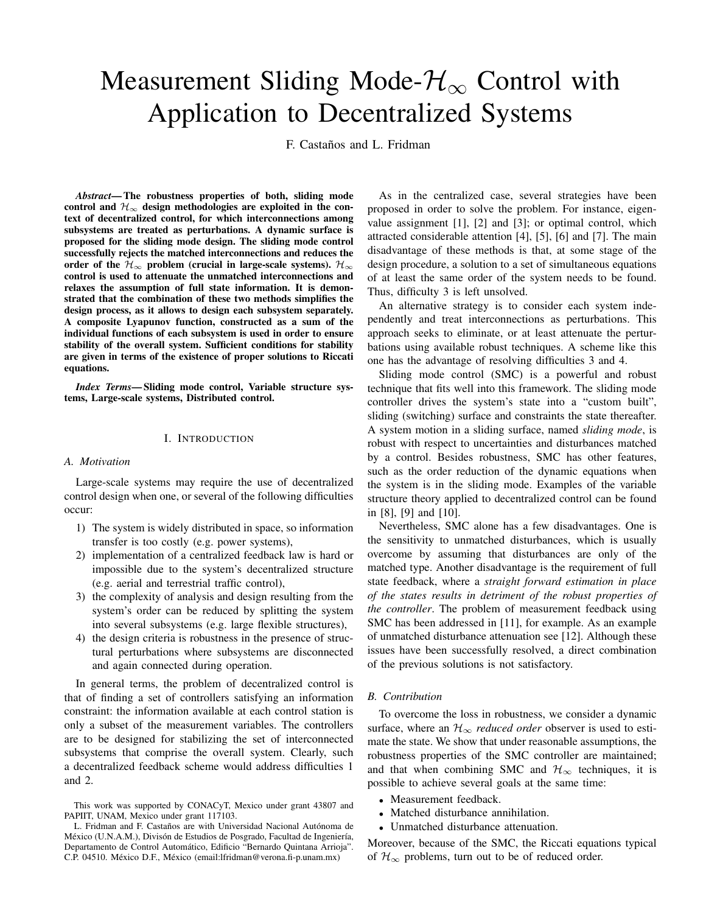# Measurement Sliding Mode- $\mathcal{H}_{\infty}$  Control with Application to Decentralized Systems

F. Castaños and L. Fridman

*Abstract***—The robustness properties of both, sliding mode** control and  $\mathcal{H}_{\infty}$  design methodologies are exploited in the con**text of decentralized control, for which interconnections among subsystems are treated as perturbations. A dynamic surface is proposed for the sliding mode design. The sliding mode control successfully rejects the matched interconnections and reduces the order** of the  $H_{\infty}$  **problem** (crucial in large-scale systems).  $H_{\infty}$ **control is used to attenuate the unmatched interconnections and relaxes the assumption of full state information. It is demonstrated that the combination of these two methods simplifies the design process, as it allows to design each subsystem separately. A composite Lyapunov function, constructed as a sum of the individual functions of each subsystem is used in order to ensure stability of the overall system. Sufficient conditions for stability are given in terms of the existence of proper solutions to Riccati equations.**

*Index Terms***— Sliding mode control, Variable structure systems, Large-scale systems, Distributed control.**

#### I. INTRODUCTION

#### *A. Motivation*

Large-scale systems may require the use of decentralized control design when one, or several of the following difficulties occur:

- 1) The system is widely distributed in space, so information transfer is too costly (e.g. power systems),
- 2) implementation of a centralized feedback law is hard or impossible due to the system's decentralized structure (e.g. aerial and terrestrial traffic control),
- 3) the complexity of analysis and design resulting from the system's order can be reduced by splitting the system into several subsystems (e.g. large flexible structures),
- 4) the design criteria is robustness in the presence of structural perturbations where subsystems are disconnected and again connected during operation.

In general terms, the problem of decentralized control is that of finding a set of controllers satisfying an information constraint: the information available at each control station is only a subset of the measurement variables. The controllers are to be designed for stabilizing the set of interconnected subsystems that comprise the overall system. Clearly, such a decentralized feedback scheme would address difficulties 1 and 2.

As in the centralized case, several strategies have been proposed in order to solve the problem. For instance, eigenvalue assignment [1], [2] and [3]; or optimal control, which attracted considerable attention [4], [5], [6] and [7]. The main disadvantage of these methods is that, at some stage of the design procedure, a solution to a set of simultaneous equations of at least the same order of the system needs to be found. Thus, difficulty 3 is left unsolved.

An alternative strategy is to consider each system independently and treat interconnections as perturbations. This approach seeks to eliminate, or at least attenuate the perturbations using available robust techniques. A scheme like this one has the advantage of resolving difficulties 3 and 4.

Sliding mode control (SMC) is a powerful and robust technique that fits well into this framework. The sliding mode controller drives the system's state into a "custom built", sliding (switching) surface and constraints the state thereafter. A system motion in a sliding surface, named *sliding mode*, is robust with respect to uncertainties and disturbances matched by a control. Besides robustness, SMC has other features, such as the order reduction of the dynamic equations when the system is in the sliding mode. Examples of the variable structure theory applied to decentralized control can be found in [8], [9] and [10].

Nevertheless, SMC alone has a few disadvantages. One is the sensitivity to unmatched disturbances, which is usually overcome by assuming that disturbances are only of the matched type. Another disadvantage is the requirement of full state feedback, where a *straight forward estimation in place of the states results in detriment of the robust properties of the controller*. The problem of measurement feedback using SMC has been addressed in [11], for example. As an example of unmatched disturbance attenuation see [12]. Although these issues have been successfully resolved, a direct combination of the previous solutions is not satisfactory.

## *B. Contribution*

To overcome the loss in robustness, we consider a dynamic surface, where an  $\mathcal{H}_{\infty}$  *reduced order* observer is used to estimate the state. We show that under reasonable assumptions, the robustness properties of the SMC controller are maintained; and that when combining SMC and  $\mathcal{H}_{\infty}$  techniques, it is possible to achieve several goals at the same time:

- Measurement feedback.
- Matched disturbance annihilation.
- Unmatched disturbance attenuation.

Moreover, because of the SMC, the Riccati equations typical of  $\mathcal{H}_{\infty}$  problems, turn out to be of reduced order.

This work was supported by CONACyT, Mexico under grant 43807 and PAPIIT, UNAM, Mexico under grant 117103.

L. Fridman and F. Castaños are with Universidad Nacional Autónoma de México (U.N.A.M.), Divisón de Estudios de Posgrado, Facultad de Ingeniería, Departamento de Control Automático, Edificio "Bernardo Quintana Arrioja". C.P. 04510. México D.F., México (email:lfridman@verona.fi-p.unam.mx)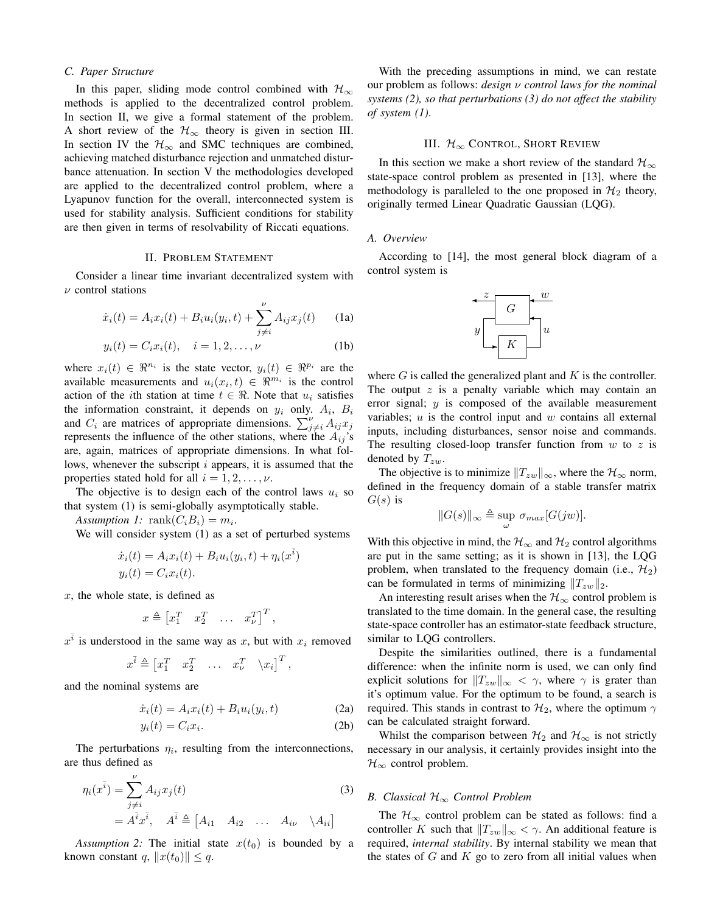#### *C. Paper Structure*

In this paper, sliding mode control combined with  $\mathcal{H}_{\infty}$ methods is applied to the decentralized control problem. In section II, we give a formal statement of the problem. A short review of the  $\mathcal{H}_{\infty}$  theory is given in section III. In section IV the  $H_{\infty}$  and SMC techniques are combined, achieving matched disturbance rejection and unmatched disturbance attenuation. In section V the methodologies developed are applied to the decentralized control problem, where a Lyapunov function for the overall, interconnected system is used for stability analysis. Sufficient conditions for stability are then given in terms of resolvability of Riccati equations.

#### II. PROBLEM STATEMENT

Consider a linear time invariant decentralized system with  $\nu$  control stations

$$
\dot{x}_i(t) = A_i x_i(t) + B_i u_i(y_i, t) + \sum_{j \neq i}^{\nu} A_{ij} x_j(t)
$$
 (1a)

$$
y_i(t) = C_i x_i(t), \quad i = 1, 2, ..., \nu
$$
 (1b)

where  $x_i(t) \in \mathbb{R}^{n_i}$  is the state vector,  $y_i(t) \in \mathbb{R}^{p_i}$  are the available measurements and  $u_i(x_i, t) \in \mathbb{R}^{m_i}$  is the control action of the *i*th station at time  $t \in \Re$ . Note that  $u_i$  satisfies the information constraint, it depends on  $y_i$  only.  $A_i$ ,  $B_i$ and  $C_i$  are matrices of appropriate dimensions.  $\sum_{j\neq i}^{V} A_{ij} x_j$ represents the influence of the other stations, where the  $A_{ij}$ 's are, again, matrices of appropriate dimensions. In what follows, whenever the subscript i appears, it is assumed that the properties stated hold for all  $i = 1, 2, \ldots, \nu$ .

The objective is to design each of the control laws  $u_i$  so that system (1) is semi-globally asymptotically stable.

*Assumption 1:*  $\text{rank}(C_i B_i) = m_i$ .

We will consider system (1) as a set of perturbed systems

$$
\dot{x}_i(t) = A_i x_i(t) + B_i u_i(y_i, t) + \eta_i(x^{\bar{i}})
$$
  

$$
y_i(t) = C_i x_i(t).
$$

 $x$ , the whole state, is defined as

$$
x \triangleq \begin{bmatrix} x_1^T & x_2^T & \dots & x_\nu^T \end{bmatrix}^T,
$$

 $x^{\overline{i}}$  is understood in the same way as x, but with  $x_i$  removed

$$
x^{\overline{i}} \triangleq \begin{bmatrix} x_1^T & x_2^T & \dots & x_{\nu}^T & \langle x_i \rangle^T \end{bmatrix}^T,
$$

and the nominal systems are

$$
\dot{x}_i(t) = A_i x_i(t) + B_i u_i(y_i, t)
$$
\n(2a)

$$
y_i(t) = C_i x_i.
$$
 (2b)

The perturbations  $\eta_i$ , resulting from the interconnections, are thus defined as

$$
\eta_i(x^{\bar{i}}) = \sum_{j \neq i}^{\nu} A_{ij} x_j(t)
$$
\n
$$
= A^{\bar{i}} x^{\bar{i}}, \quad A^{\bar{i}} \triangleq [A_{i1} \quad A_{i2} \quad \dots \quad A_{i\nu} \quad \backslash A_{ii}]
$$
\n(3)

*Assumption* 2: The initial state  $x(t_0)$  is bounded by a known constant q,  $||x(t_0)|| \leq q$ .

With the preceding assumptions in mind, we can restate our problem as follows: *design* ν *control laws for the nominal systems (2), so that perturbations (3) do not affect the stability of system (1)*.

## III.  $\mathcal{H}_{\infty}$  CONTROL, SHORT REVIEW

In this section we make a short review of the standard  $\mathcal{H}_{\infty}$ state-space control problem as presented in [13], where the methodology is paralleled to the one proposed in  $\mathcal{H}_2$  theory, originally termed Linear Quadratic Gaussian (LQG).

## *A. Overview*

According to [14], the most general block diagram of a control system is



where  $G$  is called the generalized plant and  $K$  is the controller. The output  $z$  is a penalty variable which may contain an error signal; y is composed of the available measurement variables;  $u$  is the control input and  $w$  contains all external inputs, including disturbances, sensor noise and commands. The resulting closed-loop transfer function from  $w$  to  $z$  is denoted by  $T_{zw}$ .

The objective is to minimize  $||T_{zw}||_{\infty}$ , where the  $\mathcal{H}_{\infty}$  norm, defined in the frequency domain of a stable transfer matrix  $G(s)$  is

$$
||G(s)||_{\infty} \triangleq \sup_{\omega} \sigma_{max}[G(jw)].
$$

With this objective in mind, the  $\mathcal{H}_{\infty}$  and  $\mathcal{H}_2$  control algorithms are put in the same setting; as it is shown in [13], the LQG problem, when translated to the frequency domain (i.e.,  $\mathcal{H}_2$ ) can be formulated in terms of minimizing  $||T_{zw}||_2$ .

An interesting result arises when the  $\mathcal{H}_{\infty}$  control problem is translated to the time domain. In the general case, the resulting state-space controller has an estimator-state feedback structure, similar to LQG controllers.

Despite the similarities outlined, there is a fundamental difference: when the infinite norm is used, we can only find explicit solutions for  $||T_{zw}||_{\infty} < \gamma$ , where  $\gamma$  is grater than it's optimum value. For the optimum to be found, a search is required. This stands in contrast to  $\mathcal{H}_2$ , where the optimum  $\gamma$ can be calculated straight forward.

Whilst the comparison between  $\mathcal{H}_2$  and  $\mathcal{H}_{\infty}$  is not strictly necessary in our analysis, it certainly provides insight into the  $\mathcal{H}_{\infty}$  control problem.

## *B. Classical* H<sup>∞</sup> *Control Problem*

The  $\mathcal{H}_{\infty}$  control problem can be stated as follows: find a controller K such that  $||T_{zw}||_{\infty} < \gamma$ . An additional feature is required, *internal stability*. By internal stability we mean that the states of  $G$  and  $K$  go to zero from all initial values when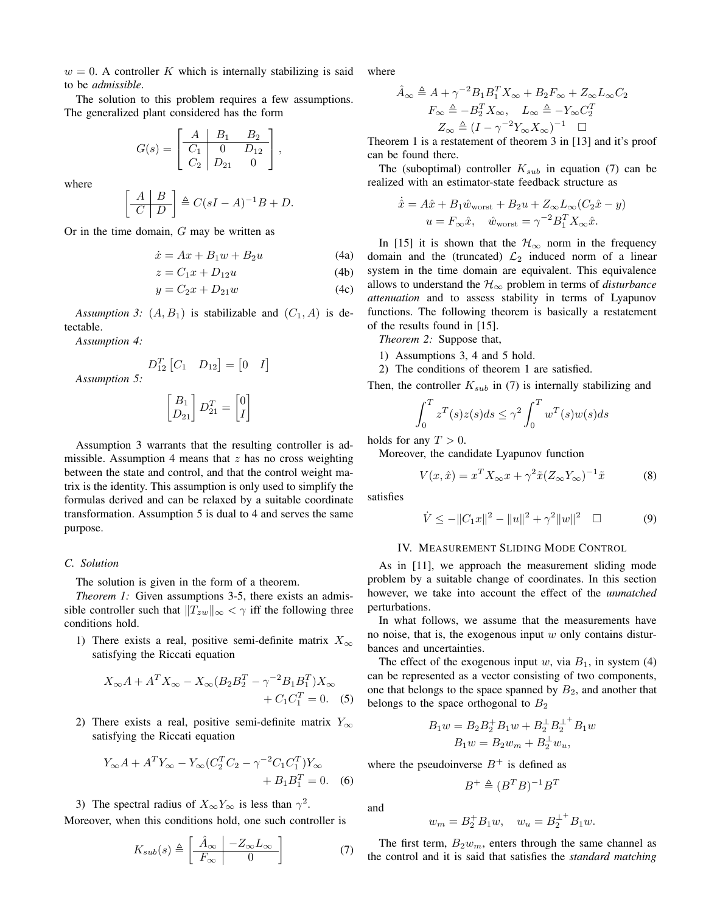$w = 0$ . A controller K which is internally stabilizing is said to be *admissible*.

The solution to this problem requires a few assumptions. The generalized plant considered has the form

$$
G(s) = \begin{bmatrix} A & B_1 & B_2 \\ \hline C_1 & 0 & D_{12} \\ C_2 & D_{21} & 0 \end{bmatrix},
$$

where

$$
\left[\begin{array}{c|c} A & B \\ \hline C & D \end{array}\right] \triangleq C(sI - A)^{-1}B + D.
$$

Or in the time domain, G may be written as

$$
\dot{x} = Ax + B_1 w + B_2 u \tag{4a}
$$

$$
z = C_1 x + D_{12} u \tag{4b}
$$

$$
y = C_2 x + D_{21} w \tag{4c}
$$

I

*Assumption* 3:  $(A, B_1)$  is stabilizable and  $(C_1, A)$  is detectable.

*Assumption 4:*

*Assumption 5:*

$$
D_{12}^T \begin{bmatrix} C_1 & D_{12} \end{bmatrix} = \begin{bmatrix} 0 & I \end{bmatrix}
$$

$$
\begin{bmatrix} B_1 \\ D_{21} \end{bmatrix} D_{21}^T = \begin{bmatrix} 0 \\ I \end{bmatrix}
$$

Assumption 3 warrants that the resulting controller is admissible. Assumption 4 means that  $z$  has no cross weighting between the state and control, and that the control weight matrix is the identity. This assumption is only used to simplify the formulas derived and can be relaxed by a suitable coordinate transformation. Assumption 5 is dual to 4 and serves the same purpose.

## *C. Solution*

The solution is given in the form of a theorem.

*Theorem 1:* Given assumptions 3-5, there exists an admissible controller such that  $||T_{zw}||_{\infty} < \gamma$  iff the following three conditions hold.

1) There exists a real, positive semi-definite matrix  $X_{\infty}$ satisfying the Riccati equation

$$
X_{\infty}A + A^T X_{\infty} - X_{\infty} (B_2 B_2^T - \gamma^{-2} B_1 B_1^T) X_{\infty}
$$
  
+  $C_1 C_1^T = 0.$  (5)

2) There exists a real, positive semi-definite matrix  $Y_{\infty}$ satisfying the Riccati equation

$$
Y_{\infty}A + A^T Y_{\infty} - Y_{\infty} (C_2^T C_2 - \gamma^{-2} C_1 C_1^T) Y_{\infty} + B_1 B_1^T = 0.
$$
 (6)

3) The spectral radius of  $X_{\infty}Y_{\infty}$  is less than  $\gamma^2$ .

Moreover, when this conditions hold, one such controller is

$$
K_{sub}(s) \triangleq \left[\begin{array}{c|c}\n\hat{A}_{\infty} & -Z_{\infty}L_{\infty} \\
\hline\nF_{\infty} & 0\n\end{array}\right]
$$
\n(7)

where

$$
\hat{A}_{\infty} \triangleq A + \gamma^{-2} B_1 B_1^T X_{\infty} + B_2 F_{\infty} + Z_{\infty} L_{\infty} C_2
$$

$$
F_{\infty} \triangleq -B_2^T X_{\infty}, \quad L_{\infty} \triangleq -Y_{\infty} C_2^T
$$

$$
Z_{\infty} \triangleq (I - \gamma^{-2} Y_{\infty} X_{\infty})^{-1} \quad \Box
$$

Theorem 1 is a restatement of theorem 3 in [13] and it's proof can be found there.

The (suboptimal) controller  $K_{sub}$  in equation (7) can be realized with an estimator-state feedback structure as

$$
\dot{\hat{x}} = A\hat{x} + B_1 \hat{w}_{\text{worst}} + B_2 u + Z_{\infty} L_{\infty} (C_2 \hat{x} - y)
$$

$$
u = F_{\infty} \hat{x}, \quad \hat{w}_{\text{worst}} = \gamma^{-2} B_1^T X_{\infty} \hat{x}.
$$

In [15] it is shown that the  $\mathcal{H}_{\infty}$  norm in the frequency domain and the (truncated)  $\mathcal{L}_2$  induced norm of a linear system in the time domain are equivalent. This equivalence allows to understand the  $H_{\infty}$  problem in terms of *disturbance attenuation* and to assess stability in terms of Lyapunov functions. The following theorem is basically a restatement of the results found in [15].

*Theorem 2:* Suppose that,

- 1) Assumptions 3, 4 and 5 hold.
- 2) The conditions of theorem 1 are satisfied.

Then, the controller  $K_{sub}$  in (7) is internally stabilizing and

$$
\int_0^T z^T(s)z(s)ds \le \gamma^2 \int_0^T w^T(s)w(s)ds
$$

holds for any  $T > 0$ .

Moreover, the candidate Lyapunov function

$$
V(x, \hat{x}) = x^T X_{\infty} x + \gamma^2 \tilde{x} (Z_{\infty} Y_{\infty})^{-1} \tilde{x}
$$
 (8)

satisfies

$$
\dot{V} \le -||C_1x||^2 - ||u||^2 + \gamma^2 ||w||^2 \quad \Box \tag{9}
$$

## IV. MEASUREMENT SLIDING MODE CONTROL

As in [11], we approach the measurement sliding mode problem by a suitable change of coordinates. In this section however, we take into account the effect of the *unmatched* perturbations.

In what follows, we assume that the measurements have no noise, that is, the exogenous input  $w$  only contains disturbances and uncertainties.

The effect of the exogenous input w, via  $B_1$ , in system (4) can be represented as a vector consisting of two components, one that belongs to the space spanned by  $B_2$ , and another that belongs to the space orthogonal to  $B_2$ 

$$
B_1 w = B_2 B_2^+ B_1 w + B_2^{\perp} B_2^{\perp^+} B_1 w
$$
  

$$
B_1 w = B_2 w_m + B_2^{\perp} w_u,
$$

where the pseudoinverse  $B^+$  is defined as

$$
B^+ \triangleq (B^T B)^{-1} B^T
$$

and

$$
w_m = B_2^{\dagger} B_1 w, \quad w_u = B_2^{\perp^+} B_1 w.
$$

The first term,  $B_2w_m$ , enters through the same channel as the control and it is said that satisfies the *standard matching*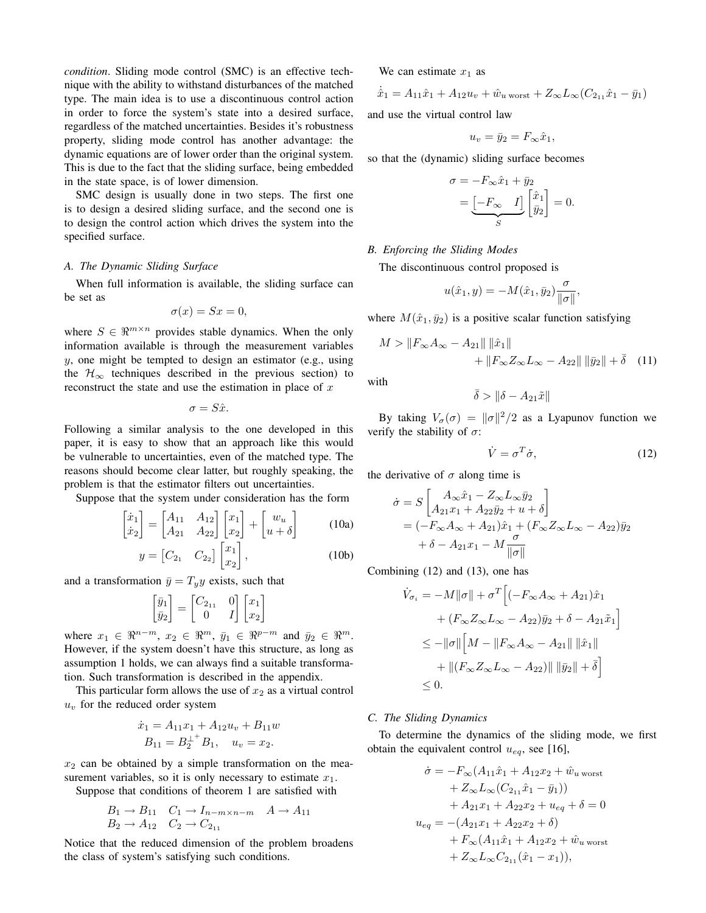*condition*. Sliding mode control (SMC) is an effective technique with the ability to withstand disturbances of the matched type. The main idea is to use a discontinuous control action in order to force the system's state into a desired surface, regardless of the matched uncertainties. Besides it's robustness property, sliding mode control has another advantage: the dynamic equations are of lower order than the original system. This is due to the fact that the sliding surface, being embedded in the state space, is of lower dimension.

SMC design is usually done in two steps. The first one is to design a desired sliding surface, and the second one is to design the control action which drives the system into the specified surface.

## *A. The Dynamic Sliding Surface*

When full information is available, the sliding surface can be set as

$$
\sigma(x) = Sx = 0,
$$

where  $S \in \mathbb{R}^{m \times n}$  provides stable dynamics. When the only information available is through the measurement variables y, one might be tempted to design an estimator (e.g., using the  $\mathcal{H}_{\infty}$  techniques described in the previous section) to reconstruct the state and use the estimation in place of  $x$ 

$$
\sigma = S\hat{x}.
$$

Following a similar analysis to the one developed in this paper, it is easy to show that an approach like this would be vulnerable to uncertainties, even of the matched type. The reasons should become clear latter, but roughly speaking, the problem is that the estimator filters out uncertainties.

Suppose that the system under consideration has the form

$$
\begin{bmatrix} \dot{x}_1 \\ \dot{x}_2 \end{bmatrix} = \begin{bmatrix} A_{11} & A_{12} \\ A_{21} & A_{22} \end{bmatrix} \begin{bmatrix} x_1 \\ x_2 \end{bmatrix} + \begin{bmatrix} w_u \\ u + \delta \end{bmatrix}
$$
 (10a)  

$$
y = \begin{bmatrix} C_{2_1} & C_{2_2} \end{bmatrix} \begin{bmatrix} x_1 \\ x_2 \end{bmatrix},
$$
 (10b)

and a transformation  $\bar{y} = T_y y$  exists, such that

$$
\begin{bmatrix} \bar{y}_1 \\ \bar{y}_2 \end{bmatrix} = \begin{bmatrix} C_{2_{11}} & 0 \\ 0 & I \end{bmatrix} \begin{bmatrix} x_1 \\ x_2 \end{bmatrix}
$$

where  $x_1 \in \mathbb{R}^{n-m}$ ,  $x_2 \in \mathbb{R}^m$ ,  $\bar{y}_1 \in \mathbb{R}^{p-m}$  and  $\bar{y}_2 \in \mathbb{R}^m$ . However, if the system doesn't have this structure, as long as assumption 1 holds, we can always find a suitable transformation. Such transformation is described in the appendix.

This particular form allows the use of  $x_2$  as a virtual control  $u<sub>v</sub>$  for the reduced order system

$$
\dot{x}_1 = A_{11}x_1 + A_{12}u_v + B_{11}w
$$
  

$$
B_{11} = B_2^{\perp^+}B_1, \quad u_v = x_2.
$$

 $x_2$  can be obtained by a simple transformation on the measurement variables, so it is only necessary to estimate  $x_1$ .

Suppose that conditions of theorem 1 are satisfied with

$$
B_1 \to B_{11} \quad C_1 \to I_{n-m \times n-m} \quad A \to A_{11}
$$
  

$$
B_2 \to A_{12} \quad C_2 \to C_{2_{11}}
$$

Notice that the reduced dimension of the problem broadens the class of system's satisfying such conditions.

We can estimate  $x_1$  as

$$
\dot{\hat{x}}_1 = A_{11}\hat{x}_1 + A_{12}u_v + \hat{w}_{u \text{ worst}} + Z_{\infty}L_{\infty}(C_{2_{11}}\hat{x}_1 - \bar{y}_1)
$$

and use the virtual control law

$$
u_v = \bar{y}_2 = F_{\infty} \hat{x}_1,
$$

so that the (dynamic) sliding surface becomes

$$
\sigma = -F_{\infty}\hat{x}_1 + \bar{y}_2
$$

$$
= \underbrace{[-F_{\infty} \quad I]}_{S} \begin{bmatrix} \hat{x}_1 \\ \bar{y}_2 \end{bmatrix} = 0.
$$

## *B. Enforcing the Sliding Modes*

The discontinuous control proposed is

$$
u(\hat{x}_1, y) = -M(\hat{x}_1, \bar{y}_2) \frac{\sigma}{\|\sigma\|},
$$

where  $M(\hat{x}_1, \bar{y}_2)$  is a positive scalar function satisfying

$$
M > \|F_{\infty}A_{\infty} - A_{21}\| \|\hat{x}_1\| + \|F_{\infty}Z_{\infty}L_{\infty} - A_{22}\| \|\bar{y}_2\| + \bar{\delta} \quad (11)
$$

with

$$
\bar{\delta} > \|\delta - A_{21}\tilde{x}\|
$$

By taking  $V_{\sigma}(\sigma) = ||\sigma||^2/2$  as a Lyapunov function we verify the stability of  $\sigma$ :

$$
\dot{V} = \sigma^T \dot{\sigma},\tag{12}
$$

the derivative of  $\sigma$  along time is

$$
\dot{\sigma} = S \left[ \begin{array}{c} A_{\infty} \hat{x}_1 - Z_{\infty} L_{\infty} \bar{y}_2 \\ A_{21} x_1 + A_{22} \bar{y}_2 + u + \delta \end{array} \right]
$$
  
=  $(-F_{\infty} A_{\infty} + A_{21}) \hat{x}_1 + (F_{\infty} Z_{\infty} L_{\infty} - A_{22}) \bar{y}_2$   
+  $\delta - A_{21} x_1 - M \frac{\sigma}{\|\sigma\|}$ 

Combining (12) and (13), one has

$$
\dot{V}_{\sigma_i} = -M||\sigma|| + \sigma^T \left[ (-F_{\infty} A_{\infty} + A_{21}) \hat{x}_1 + (F_{\infty} Z_{\infty} L_{\infty} - A_{22}) \bar{y}_2 + \delta - A_{21} \tilde{x}_1 \right]
$$
  
\n
$$
\leq -||\sigma|| \left[ M - ||F_{\infty} A_{\infty} - A_{21}|| ||\hat{x}_1|| + ||(F_{\infty} Z_{\infty} L_{\infty} - A_{22})|| ||\bar{y}_2|| + \bar{\delta} \right]
$$
  
\n
$$
\leq 0.
$$

## *C. The Sliding Dynamics*

To determine the dynamics of the sliding mode, we first obtain the equivalent control  $u_{eq}$ , see [16],

$$
\dot{\sigma} = -F_{\infty}(A_{11}\hat{x}_1 + A_{12}x_2 + \hat{w}_u_{\text{worst}} \n+ Z_{\infty}L_{\infty}(C_{2_{11}}\hat{x}_1 - \bar{y}_1)) \n+ A_{21}x_1 + A_{22}x_2 + u_{eq} + \delta = 0 \nu_{eq} = -(A_{21}x_1 + A_{22}x_2 + \delta) \n+ F_{\infty}(A_{11}\hat{x}_1 + A_{12}x_2 + \hat{w}_u_{\text{worst}} \n+ Z_{\infty}L_{\infty}C_{2_{11}}(\hat{x}_1 - x_1)),
$$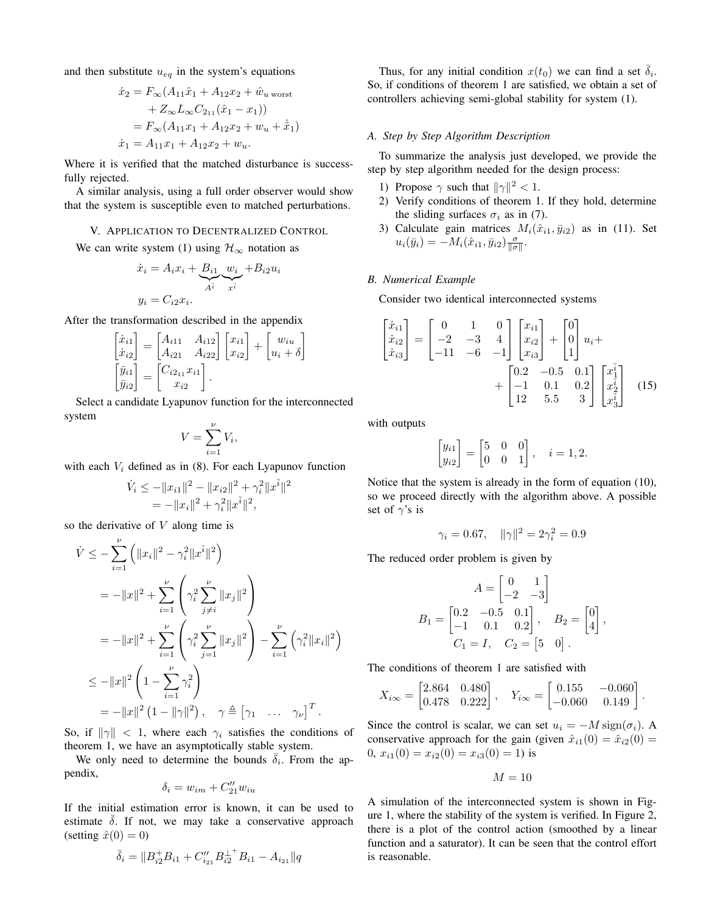and then substitute  $u_{eq}$  in the system's equations

$$
\begin{aligned}\n\dot{x}_2 &= F_{\infty}(A_{11}\hat{x}_1 + A_{12}x_2 + \hat{w}_u) \\
&\quad + Z_{\infty}L_{\infty}C_{2_{11}}(\hat{x}_1 - x_1) \\
&= F_{\infty}(A_{11}x_1 + A_{12}x_2 + w_u + \dot{\tilde{x}}_1) \\
\dot{x}_1 &= A_{11}x_1 + A_{12}x_2 + w_u.\n\end{aligned}
$$

Where it is verified that the matched disturbance is successfully rejected.

A similar analysis, using a full order observer would show that the system is susceptible even to matched perturbations.

#### V. APPLICATION TO DECENTRALIZED CONTROL

We can write system (1) using  $\mathcal{H}_{\infty}$  notation as

$$
\dot{x}_i = A_i x_i + B_{i1} \underbrace{w_i}_{A^i} + B_{i2} u_i
$$

$$
y_i = C_{i2} x_i.
$$

After the transformation described in the appendix

$$
\begin{bmatrix}\n\dot{x}_{i1} \\
\dot{x}_{i2}\n\end{bmatrix} =\n\begin{bmatrix}\nA_{i11} & A_{i12} \\
A_{i21} & A_{i22}\n\end{bmatrix}\n\begin{bmatrix}\nx_{i1} \\
x_{i2}\n\end{bmatrix} +\n\begin{bmatrix}\nw_{iu} \\
u_i + \delta\n\end{bmatrix}
$$
\n
$$
\begin{bmatrix}\n\bar{y}_{i1} \\
\bar{y}_{i2}\n\end{bmatrix} =\n\begin{bmatrix}\nC_{i2_{11}}x_{i1} \\
x_{i2}\n\end{bmatrix}.
$$

Select a candidate Lyapunov function for the interconnected system

$$
V = \sum_{i=1}^{\nu} V_i,
$$

with each  $V_i$  defined as in (8). For each Lyapunov function

$$
\dot{V}_i \le -||x_{i1}||^2 - ||x_{i2}||^2 + \gamma_i^2 ||x^{\bar{i}}||^2
$$
  
= -||x<sub>i</sub>||<sup>2</sup> +  $\gamma_i^2 ||x^{\bar{i}}||^2$ ,

so the derivative of  $V$  along time is

$$
\dot{V} \leq -\sum_{i=1}^{\nu} \left( \|x_i\|^2 - \gamma_i^2 \|x^{\bar{i}}\|^2 \right)
$$
\n
$$
= -\|x\|^2 + \sum_{i=1}^{\nu} \left( \gamma_i^2 \sum_{j \neq i}^{\nu} \|x_j\|^2 \right)
$$
\n
$$
= -\|x\|^2 + \sum_{i=1}^{\nu} \left( \gamma_i^2 \sum_{j=1}^{\nu} \|x_j\|^2 \right) - \sum_{i=1}^{\nu} \left( \gamma_i^2 \|x_i\|^2 \right)
$$
\n
$$
\leq -\|x\|^2 \left( 1 - \sum_{i=1}^{\nu} \gamma_i^2 \right)
$$
\n
$$
= -\|x\|^2 \left( 1 - \|\gamma\|^2 \right), \quad \gamma \triangleq \left[ \gamma_1 \quad \cdots \quad \gamma_{\nu} \right]^T.
$$

So, if  $\|\gamma\| < 1$ , where each  $\gamma_i$  satisfies the conditions of theorem 1, we have an asymptotically stable system.

We only need to determine the bounds  $\overline{\delta}_i$ . From the appendix,

$$
\delta_i = w_{im} + C''_{21} w_{iu}
$$

If the initial estimation error is known, it can be used to estimate  $\delta$ . If not, we may take a conservative approach (setting  $\hat{x}(0) = 0$ )

$$
\bar{\delta}_i = \|B_{i2}^+ B_{i1} + C_{i_{21}}'' B_{i2}^{\perp^+} B_{i1} - A_{i_{21}}\|q
$$

Thus, for any initial condition  $x(t_0)$  we can find a set  $\overline{\delta}_i$ . So, if conditions of theorem 1 are satisfied, we obtain a set of controllers achieving semi-global stability for system (1).

#### *A. Step by Step Algorithm Description*

To summarize the analysis just developed, we provide the step by step algorithm needed for the design process:

- 1) Propose  $\gamma$  such that  $\|\gamma\|^2 < 1$ .
- 2) Verify conditions of theorem 1. If they hold, determine the sliding surfaces  $\sigma_i$  as in (7).
- 3) Calculate gain matrices  $M_i(\hat{x}_{i1}, \bar{y}_{i2})$  as in (11). Set  $u_i(\bar{y}_i) = -M_i(\hat{x}_{i1}, \bar{y}_{i2}) \frac{\sigma}{\|\sigma\|}.$

## *B. Numerical Example*

Consider two identical interconnected systems

$$
\begin{bmatrix} \dot{x}_{i1} \\ \dot{x}_{i2} \\ \dot{x}_{i3} \end{bmatrix} = \begin{bmatrix} 0 & 1 & 0 \\ -2 & -3 & 4 \\ -11 & -6 & -1 \end{bmatrix} \begin{bmatrix} x_{i1} \\ x_{i2} \\ x_{i3} \end{bmatrix} + \begin{bmatrix} 0 \\ 0 \\ 1 \end{bmatrix} u_i + \\ + \begin{bmatrix} 0.2 & -0.5 & 0.1 \\ -1 & 0.1 & 0.2 \\ 12 & 5.5 & 3 \end{bmatrix} \begin{bmatrix} x_1^{\bar{i}} \\ x_2^{\bar{i}} \\ x_3^{\bar{i}} \end{bmatrix} \quad (15)
$$

with outputs

 $\sqrt{ }$ 

$$
\begin{bmatrix} y_{i1} \\ y_{i2} \end{bmatrix} = \begin{bmatrix} 5 & 0 & 0 \\ 0 & 0 & 1 \end{bmatrix}, \quad i = 1, 2.
$$

Notice that the system is already in the form of equation (10), so we proceed directly with the algorithm above. A possible set of  $\gamma$ 's is

$$
\gamma_i = 0.67, \quad ||\gamma||^2 = 2\gamma_i^2 = 0.9
$$

The reduced order problem is given by

$$
A = \begin{bmatrix} 0 & 1 \\ -2 & -3 \end{bmatrix}
$$
  
\n
$$
B_1 = \begin{bmatrix} 0.2 & -0.5 & 0.1 \\ -1 & 0.1 & 0.2 \end{bmatrix}, \quad B_2 = \begin{bmatrix} 0 \\ 4 \end{bmatrix},
$$
  
\n
$$
C_1 = I, \quad C_2 = \begin{bmatrix} 5 & 0 \end{bmatrix}.
$$

The conditions of theorem 1 are satisfied with

$$
X_{i\infty} = \begin{bmatrix} 2.864 & 0.480 \\ 0.478 & 0.222 \end{bmatrix}, \quad Y_{i\infty} = \begin{bmatrix} 0.155 & -0.060 \\ -0.060 & 0.149 \end{bmatrix}.
$$

Since the control is scalar, we can set  $u_i = -M \operatorname{sign}(\sigma_i)$ . A conservative approach for the gain (given  $\hat{x}_{i1}(0) = \hat{x}_{i2}(0)$  = 0,  $x_{i1}(0) = x_{i2}(0) = x_{i3}(0) = 1$ ) is

 $M = 10$ 

A simulation of the interconnected system is shown in Figure 1, where the stability of the system is verified. In Figure 2, there is a plot of the control action (smoothed by a linear function and a saturator). It can be seen that the control effort is reasonable.